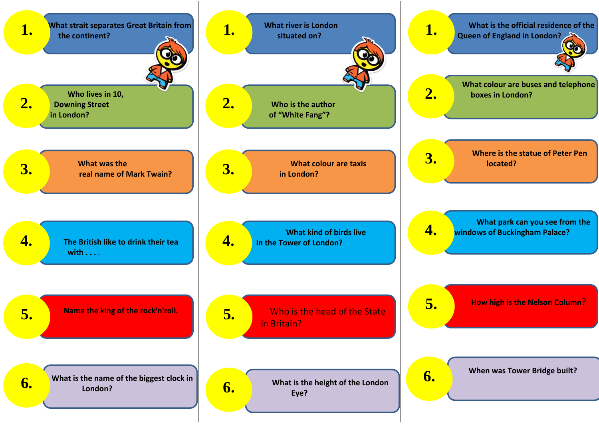